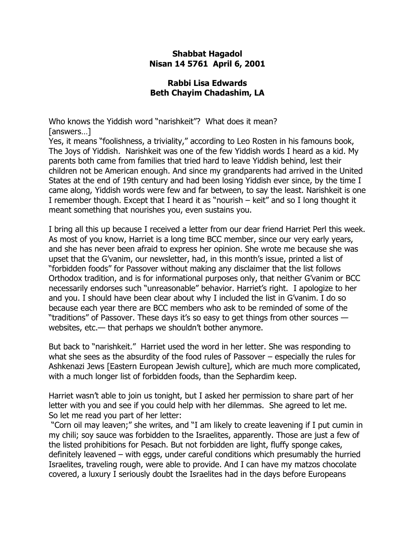## **Shabbat Hagadol Nisan 14 5761 April 6, 2001**

## **Rabbi Lisa Edwards Beth Chayim Chadashim, LA**

Who knows the Yiddish word "narishkeit"? What does it mean? [answers…]

Yes, it means "foolishness, a triviality," according to Leo Rosten in his famouns book, The Joys of Yiddish. Narishkeit was one of the few Yiddish words I heard as a kid. My parents both came from families that tried hard to leave Yiddish behind, lest their children not be American enough. And since my grandparents had arrived in the United States at the end of 19th century and had been losing Yiddish ever since, by the time I came along, Yiddish words were few and far between, to say the least. Narishkeit is one I remember though. Except that I heard it as "nourish – keit" and so I long thought it meant something that nourishes you, even sustains you.

I bring all this up because I received a letter from our dear friend Harriet Perl this week. As most of you know, Harriet is a long time BCC member, since our very early years, and she has never been afraid to express her opinion. She wrote me because she was upset that the G'vanim, our newsletter, had, in this month's issue, printed a list of "forbidden foods" for Passover without making any disclaimer that the list follows Orthodox tradition, and is for informational purposes only, that neither G'vanim or BCC necessarily endorses such "unreasonable" behavior. Harriet's right. I apologize to her and you. I should have been clear about why I included the list in G'vanim. I do so because each year there are BCC members who ask to be reminded of some of the "traditions" of Passover. These days it's so easy to get things from other sources websites, etc.— that perhaps we shouldn't bother anymore.

But back to "narishkeit." Harriet used the word in her letter. She was responding to what she sees as the absurdity of the food rules of Passover – especially the rules for Ashkenazi Jews [Eastern European Jewish culture], which are much more complicated, with a much longer list of forbidden foods, than the Sephardim keep.

Harriet wasn't able to join us tonight, but I asked her permission to share part of her letter with you and see if you could help with her dilemmas. She agreed to let me. So let me read you part of her letter:

"Corn oil may leaven;" she writes, and "I am likely to create leavening if I put cumin in my chili; soy sauce was forbidden to the Israelites, apparently. Those are just a few of the listed prohibitions for Pesach. But not forbidden are light, fluffy sponge cakes, definitely leavened – with eggs, under careful conditions which presumably the hurried Israelites, traveling rough, were able to provide. And I can have my matzos chocolate covered, a luxury I seriously doubt the Israelites had in the days before Europeans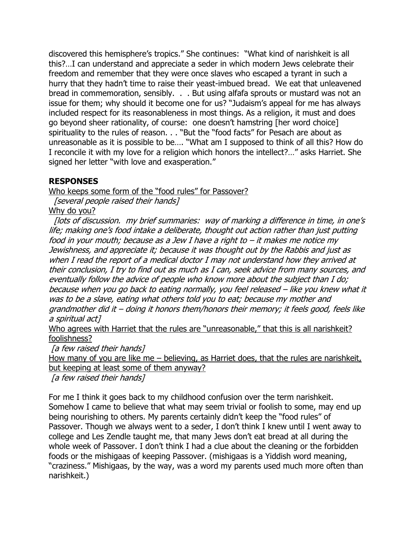discovered this hemisphere's tropics." She continues: "What kind of narishkeit is all this?…I can understand and appreciate a seder in which modern Jews celebrate their freedom and remember that they were once slaves who escaped a tyrant in such a hurry that they hadn't time to raise their yeast-imbued bread. We eat that unleavened bread in commemoration, sensibly. . . But using alfafa sprouts or mustard was not an issue for them; why should it become one for us? "Judaism's appeal for me has always included respect for its reasonableness in most things. As a religion, it must and does go beyond sheer rationality, of course: one doesn't hamstring [her word choice] spirituality to the rules of reason. . . "But the "food facts" for Pesach are about as unreasonable as it is possible to be…. "What am I supposed to think of all this? How do I reconcile it with my love for a religion which honors the intellect?…" asks Harriet. She signed her letter "with love and exasperation."

## **RESPONSES**

Who keeps some form of the "food rules" for Passover?

[several people raised their hands]

Why do you?

[lots of discussion. my brief summaries: way of marking a difference in time, in one's life; making one's food intake a deliberate, thought out action rather than just putting food in your mouth; because as a Jew I have a right to – it makes me notice my Jewishness, and appreciate it; because it was thought out by the Rabbis and just as when I read the report of a medical doctor I may not understand how they arrived at their conclusion, I try to find out as much as I can, seek advice from many sources, and eventually follow the advice of people who know more about the subject than I do; because when you go back to eating normally, you feel released – like you knew what it was to be a slave, eating what others told you to eat; because my mother and grandmother did it – doing it honors them/honors their memory; it feels good, feels like a spiritual act]

Who agrees with Harriet that the rules are "unreasonable," that this is all narishkeit? foolishness?

[a few raised their hands]

How many of you are like me – believing, as Harriet does, that the rules are narishkeit, but keeping at least some of them anyway?

[a few raised their hands]

For me I think it goes back to my childhood confusion over the term narishkeit. Somehow I came to believe that what may seem trivial or foolish to some, may end up being nourishing to others. My parents certainly didn't keep the "food rules" of Passover. Though we always went to a seder, I don't think I knew until I went away to college and Les Zendle taught me, that many Jews don't eat bread at all during the whole week of Passover. I don't think I had a clue about the cleaning or the forbidden foods or the mishigaas of keeping Passover. (mishigaas is a Yiddish word meaning, "craziness." Mishigaas, by the way, was a word my parents used much more often than narishkeit.)